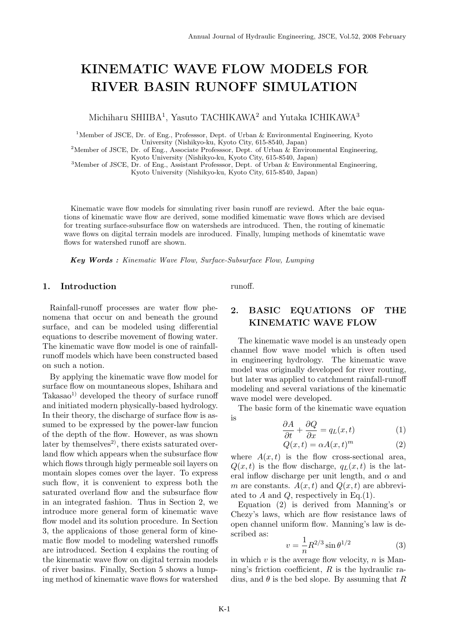# **KINEMATIC WAVE FLOW MODELS FOR RIVER BASIN RUNOFF SIMULATION**

Michiharu SHIIBA<sup>1</sup>, Yasuto TACHIKAWA<sup>2</sup> and Yutaka ICHIKAWA<sup>3</sup>

<sup>1</sup>Member of JSCE, Dr. of Eng., Professsor, Dept. of Urban & Environmental Engineering, Kyoto University (Nishikyo-ku, Kyoto City, 615-8540, Japan)

<sup>2</sup>Member of JSCE, Dr. of Eng., Associate Professsor, Dept. of Urban & Environmental Engineering, Kyoto University (Nishikyo-ku, Kyoto City, 615-8540, Japan)

<sup>3</sup>Member of JSCE, Dr. of Eng., Assistant Professsor, Dept. of Urban & Environmental Engineering, Kyoto University (Nishikyo-ku, Kyoto City, 615-8540, Japan)

Kinematic wave flow models for simulating river basin runoff are reviewd. After the baic equations of kinematic wave flow are derived, some modified kimematic wave flows which are devised for treating surface-subsurface flow on watersheds are introduced. Then, the routing of kinematic wave flows on digital terrain models are inroduced. Finally, lumping methods of kinemtatic wave flows for watershed runoff are shown.

*Key Words : Kinematic Wave Flow, Surface-Subsurface Flow, Lumping*

#### **1. Introduction**

Rainfall-runoff processes are water flow phenomena that occur on and beneath the ground surface, and can be modeled using differential equations to describe movement of flowing water. The kinematic wave flow model is one of rainfallrunoff models which have been constructed based on such a notion.

By applying the kinematic wave flow model for surface flow on mountaneous slopes, Ishihara and  $Takasao<sup>1</sup>$  developed the theory of surface runoff and initiated modern physically-based hydrology. In their theory, the discharge of surface flow is assumed to be expressed by the power-law funcion of the depth of the flow. However, as was shown later by themselves<sup>2)</sup>, there exists saturated overland flow which appears when the subsurface flow which flows through higly permeable soil layers on montain slopes comes over the layer. To express such flow, it is convenient to express both the saturated overland flow and the subsurface flow in an integrated fashion. Thus in Section 2, we introduce more general form of kinematic wave flow model and its solution procedure. In Section 3, the applicaions of those general form of kinematic flow model to modeling watershed runoffs are introduced. Section 4 explains the routing of the kinematic wave flow on digital terrain models of river basins. Finally, Section 5 shows a lumping method of kinematic wave flows for watershed runoff.

## **2. BASIC EQUATIONS OF THE KINEMATIC WAVE FLOW**

The kinematic wave model is an unsteady open channel flow wave model which is often used in engineering hydrology. The kinematic wave model was originally developed for river routing, but later was applied to catchment rainfall-runoff modeling and several variations of the kinematic wave model were developed.

The basic form of the kinematic wave equation is

$$
\frac{\partial A}{\partial t} + \frac{\partial Q}{\partial x} = q_L(x, t) \tag{1}
$$

$$
Q(x,t) = \alpha A(x,t)^m \tag{2}
$$

where  $A(x,t)$  is the flow cross-sectional area,  $Q(x, t)$  is the flow discharge,  $q_L(x, t)$  is the lateral inflow discharge per unit length, and *α* and *m* are constants.  $A(x,t)$  and  $Q(x,t)$  are abbreviated to *A* and *Q*, respectively in Eq.(1).

Equation (2) is derived from Manning's or Chezy's laws, which are flow resistance laws of open channel uniform flow. Manning's law is described as:

$$
v = \frac{1}{n} R^{2/3} \sin \theta^{1/2}
$$
 (3)

in which *v* is the average flow velocity, *n* is Manning's friction coefficient, *R* is the hydraulic radius, and  $\theta$  is the bed slope. By assuming that *R*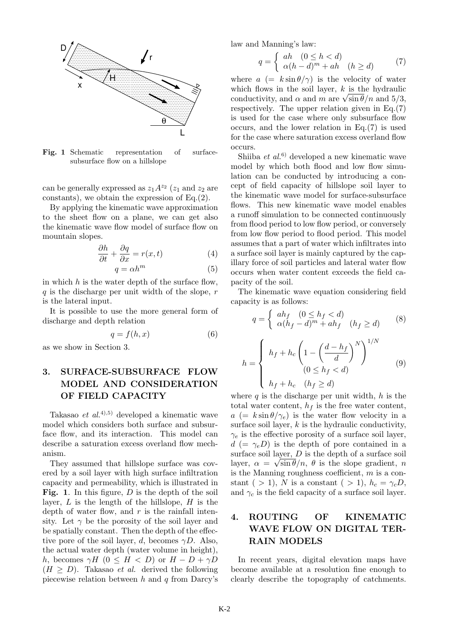

Fig. 1 Schematic representation of surfacesubsurface flow on a hillslope

can be generally expressed as  $z_1 A^{z_2}$  ( $z_1$  and  $z_2$  are constants), we obtain the expression of Eq.(2).

By applying the kinematic wave approximation to the sheet flow on a plane, we can get also the kinematic wave flow model of surface flow on mountain slopes.

$$
\frac{\partial h}{\partial t} + \frac{\partial q}{\partial x} = r(x, t)
$$
 (4)

$$
q = \alpha h^m \tag{5}
$$

in which *h* is the water depth of the surface flow, *q* is the discharge per unit width of the slope, *r* is the lateral input.

It is possible to use the more general form of discharge and depth relation

$$
q = f(h, x) \tag{6}
$$

as we show in Section 3.

## **3. SURFACE-SUBSURFACE FLOW MODEL AND CONSIDERATION OF FIELD CAPACITY**

Takasao *et al.*4),5) developed a kinematic wave model which considers both surface and subsurface flow, and its interaction. This model can describe a saturation excess overland flow mechanism.

They assumed that hillslope surface was covered by a soil layer with high surface infiltration capacity and permeability, which is illustrated in **Fig. 1**. In this figure, *D* is the depth of the soil layer, *L* is the length of the hillslope, *H* is the depth of water flow, and *r* is the rainfall intensity. Let  $\gamma$  be the porosity of the soil layer and be spatially constant. Then the depth of the effective pore of the soil layer, *d*, becomes  $\gamma D$ . Also, the actual water depth (water volume in height), *h*, becomes  $\gamma H$  (0  $\leq H < D$ ) or  $H - D + \gamma D$  $(H \geq D)$ . Takasao *et al.* derived the following piecewise relation between *h* and *q* from Darcy's law and Manning's law:

$$
q = \begin{cases} ah & (0 \le h < d) \\ \alpha(h - d)^m + ah & (h \ge d) \end{cases}
$$
 (7)

where  $a = k \sin \theta / \gamma$  is the velocity of water which flows in the soil layer, *k* is the hydraulic conductivity, and  $\alpha$  and  $m$  are  $\sqrt{\sin \theta}/n$  and  $5/3$ , respectively. The upper relation given in Eq.(7) is used for the case where only subsurface flow occurs, and the lower relation in Eq.(7) is used for the case where saturation excess overland flow occurs.

Shiiba *et al.*6) developed a new kinematic wave model by which both flood and low flow simulation can be conducted by introducing a concept of field capacity of hillslope soil layer to the kinematic wave model for surface-subsurface flows. This new kinematic wave model enables a runoff simulation to be connected continuously from flood period to low flow period, or conversely from low flow period to flood period. This model assumes that a part of water which infiltrates into a surface soil layer is mainly captured by the capillary force of soil particles and lateral water flow occurs when water content exceeds the field capacity of the soil.

The kinematic wave equation considering field capacity is as follows:

$$
q = \begin{cases} ah_f & (0 \le h_f < d) \\ \alpha(h_f - d)^m + ah_f & (h_f \ge d) \end{cases} \tag{8}
$$

$$
h = \begin{cases} h_f + h_c \left( 1 - \left( \frac{d - h_f}{d} \right)^N \right)^{1/N} & (9) \\ (0 \le h_f < d) \\ h_f + h_c & (h_f \ge d) \end{cases}
$$

where *q* is the discharge per unit width, *h* is the total water content,  $h_f$  is the free water content,  $a (= k \sin \theta / \gamma_e)$  is the water flow velocity in a surface soil layer,  $k$  is the hydraulic conductivity,  $\gamma_e$  is the effective porosity of a surface soil layer,  $d \equiv \gamma_e D$ ) is the depth of pore contained in a surface soil layer, *D* is the depth of a surface soil layer,  $\alpha = \sqrt{\sin \theta/n}$ ,  $\theta$  is the slope gradient, *n* is the Manning roughness coefficient, *m* is a constant (  $>$  1), *N* is a constant (  $>$  1),  $h_c = \gamma_c D$ , and  $\gamma_c$  is the field capacity of a surface soil layer.

## **4. ROUTING OF KINEMATIC WAVE FLOW ON DIGITAL TER-RAIN MODELS**

In recent years, digital elevation maps have become available at a resolution fine enough to clearly describe the topography of catchments.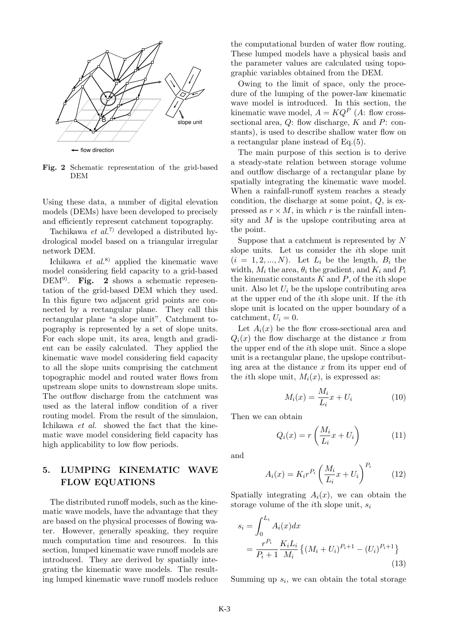

**Fig. 2** Schematic representation of the grid-based DEM

Using these data, a number of digital elevation models (DEMs) have been developed to precisely and efficiently represent catchment topography.

Tachikawa *et al.*7) developed a distributed hydrological model based on a triangular irregular network DEM.

Ichikawa *et al.*8) applied the kinematic wave model considering field capacity to a grid-based DEM<sup>9)</sup>. Fig. 2 shows a schematic representation of the grid-based DEM which they used. In this figure two adjacent grid points are connected by a rectangular plane. They call this rectangular plane "a slope unit". Catchment topography is represented by a set of slope units. For each slope unit, its area, length and gradient can be easily calculated. They applied the kinematic wave model considering field capacity to all the slope units comprising the catchment topographic model and routed water flows from upstream slope units to downstream slope units. The outflow discharge from the catchment was used as the lateral inflow condition of a river routing model. From the result of the simulaion, Ichikawa *et al.* showed the fact that the kinematic wave model considering field capacity has high applicability to low flow periods.

#### **5. LUMPING KINEMATIC WAVE FLOW EQUATIONS**

The distributed runoff models, such as the kinematic wave models, have the advantage that they are based on the physical processes of flowing water. However, generally speaking, they require much computation time and resources. In this section, lumped kinematic wave runoff models are introduced. They are derived by spatially integrating the kinematic wave models. The resulting lumped kinematic wave runoff models reduce

the computational burden of water flow routing. These lumped models have a physical basis and the parameter values are calculated using topographic variables obtained from the DEM.

Owing to the limit of space, only the procedure of the lumping of the power-law kinematic wave model is introduced. In this section, the kinematic wave model,  $A = KQ^P$  (A: flow crosssectional area, *Q*: flow discharge, *K* and *P*: constants), is used to describe shallow water flow on a rectangular plane instead of Eq.(5).

The main purpose of this section is to derive a steady-state relation between storage volume and outflow discharge of a rectangular plane by spatially integrating the kinematic wave model. When a rainfall-runoff system reaches a steady condition, the discharge at some point, *Q*, is expressed as  $r \times M$ , in which *r* is the rainfall intensity and *M* is the upslope contributing area at the point.

Suppose that a catchment is represented by *N* slope units. Let us consider the *i*th slope unit  $(i = 1, 2, ..., N)$ . Let  $L_i$  be the length,  $B_i$  the width,  $M_i$  the area,  $\theta_i$  the gradient, and  $K_i$  and  $P_i$ the kinematic constants *K* and *P*, of the *i*th slope unit. Also let  $U_i$  be the upslope contributing area at the upper end of the *i*th slope unit. If the *i*th slope unit is located on the upper boundary of a catchment,  $U_i = 0$ .

Let  $A_i(x)$  be the flow cross-sectional area and  $Q_i(x)$  the flow discharge at the distance *x* from the upper end of the *i*th slope unit. Since a slope unit is a rectangular plane, the upslope contributing area at the distance *x* from its upper end of the *i*th slope unit,  $M_i(x)$ , is expressed as:

$$
M_i(x) = \frac{M_i}{L_i}x + U_i
$$
\n(10)

Then we can obtain

$$
Q_i(x) = r\left(\frac{M_i}{L_i}x + U_i\right) \tag{11}
$$

and

$$
A_i(x) = K_i r^{P_i} \left(\frac{M_i}{L_i} x + U_i\right)^{P_i} \tag{12}
$$

Spatially integrating  $A_i(x)$ , we can obtain the storage volume of the *i*th slope unit, *s<sup>i</sup>*

$$
s_i = \int_0^{L_i} A_i(x) dx
$$
  
= 
$$
\frac{r^{P_i}}{P_i + 1} \frac{K_i L_i}{M_i} \left\{ (M_i + U_i)^{P_i + 1} - (U_i)^{P_i + 1} \right\}
$$
(13)

Summing up *s<sup>i</sup>* , we can obtain the total storage